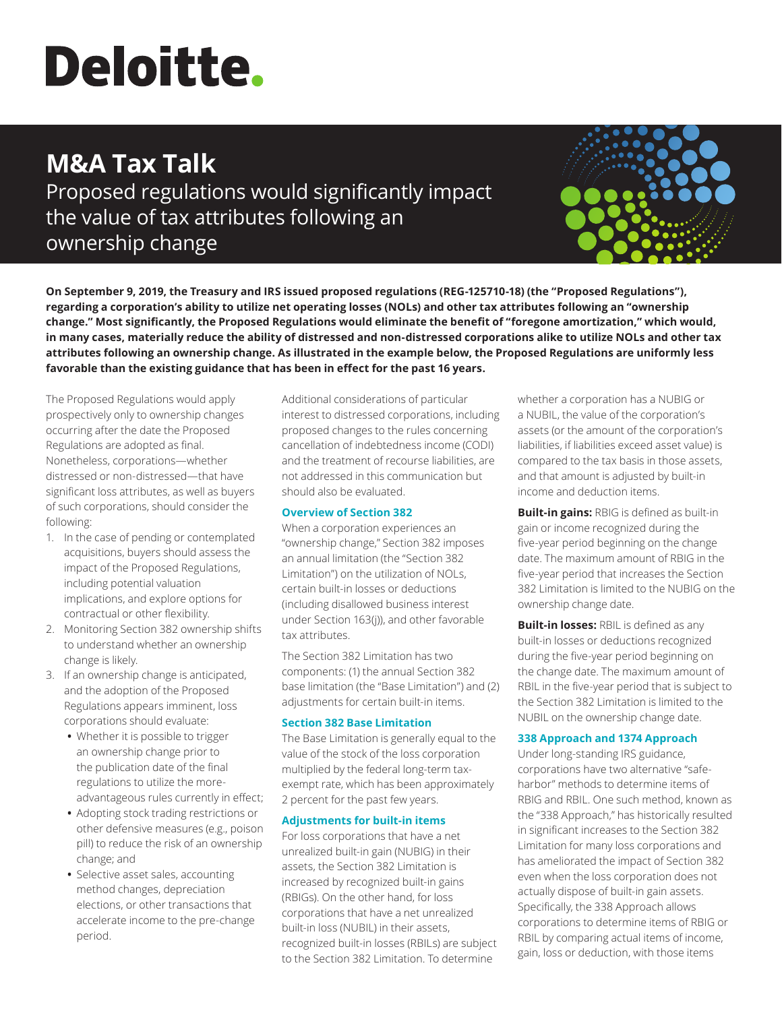# **Deloitte.**

# **M&A Tax Talk**

Proposed regulations would significantly impact the value of tax attributes following an ownership change



**On September 9, 2019, the Treasury and IRS issued proposed regulations (REG-125710-18) (the "Proposed Regulations"), regarding a corporation's ability to utilize net operating losses (NOLs) and other tax attributes following an "ownership change." Most significantly, the Proposed Regulations would eliminate the benefit of "foregone amortization," which would, in many cases, materially reduce the ability of distressed and non-distressed corporations alike to utilize NOLs and other tax attributes following an ownership change. As illustrated in the example below, the Proposed Regulations are uniformly less favorable than the existing guidance that has been in effect for the past 16 years.**

The Proposed Regulations would apply prospectively only to ownership changes occurring after the date the Proposed Regulations are adopted as final. Nonetheless, corporations—whether distressed or non-distressed—that have significant loss attributes, as well as buyers of such corporations, should consider the following:

- 1. In the case of pending or contemplated acquisitions, buyers should assess the impact of the Proposed Regulations, including potential valuation implications, and explore options for contractual or other flexibility.
- 2. Monitoring Section 382 ownership shifts to understand whether an ownership change is likely.
- 3. If an ownership change is anticipated, and the adoption of the Proposed Regulations appears imminent, loss corporations should evaluate:
	- **•** Whether it is possible to trigger an ownership change prior to the publication date of the final regulations to utilize the moreadvantageous rules currently in effect;
	- **•** Adopting stock trading restrictions or other defensive measures (e.g., poison pill) to reduce the risk of an ownership change; and
	- **•** Selective asset sales, accounting method changes, depreciation elections, or other transactions that accelerate income to the pre-change period.

Additional considerations of particular interest to distressed corporations, including proposed changes to the rules concerning cancellation of indebtedness income (CODI) and the treatment of recourse liabilities, are not addressed in this communication but should also be evaluated.

### **Overview of Section 382**

When a corporation experiences an "ownership change," Section 382 imposes an annual limitation (the "Section 382 Limitation") on the utilization of NOLs, certain built-in losses or deductions (including disallowed business interest under Section 163(j)), and other favorable tax attributes.

The Section 382 Limitation has two components: (1) the annual Section 382 base limitation (the "Base Limitation") and (2) adjustments for certain built-in items.

# **Section 382 Base Limitation**

The Base Limitation is generally equal to the value of the stock of the loss corporation multiplied by the federal long-term taxexempt rate, which has been approximately 2 percent for the past few years.

# **Adjustments for built-in items**

For loss corporations that have a net unrealized built-in gain (NUBIG) in their assets, the Section 382 Limitation is increased by recognized built-in gains (RBIGs). On the other hand, for loss corporations that have a net unrealized built-in loss (NUBIL) in their assets, recognized built-in losses (RBILs) are subject to the Section 382 Limitation. To determine

whether a corporation has a NUBIG or a NUBIL, the value of the corporation's assets (or the amount of the corporation's liabilities, if liabilities exceed asset value) is compared to the tax basis in those assets, and that amount is adjusted by built-in income and deduction items.

**Built-in gains:** RBIG is defined as built-in gain or income recognized during the five-year period beginning on the change date. The maximum amount of RBIG in the five-year period that increases the Section 382 Limitation is limited to the NUBIG on the ownership change date.

**Built-in losses:** RBIL is defined as any built-in losses or deductions recognized during the five-year period beginning on the change date. The maximum amount of RBIL in the five-year period that is subject to the Section 382 Limitation is limited to the NUBIL on the ownership change date.

# **338 Approach and 1374 Approach**

Under long-standing IRS guidance, corporations have two alternative "safeharbor" methods to determine items of RBIG and RBIL. One such method, known as the "338 Approach," has historically resulted in significant increases to the Section 382 Limitation for many loss corporations and has ameliorated the impact of Section 382 even when the loss corporation does not actually dispose of built-in gain assets. Specifically, the 338 Approach allows corporations to determine items of RBIG or RBIL by comparing actual items of income, gain, loss or deduction, with those items